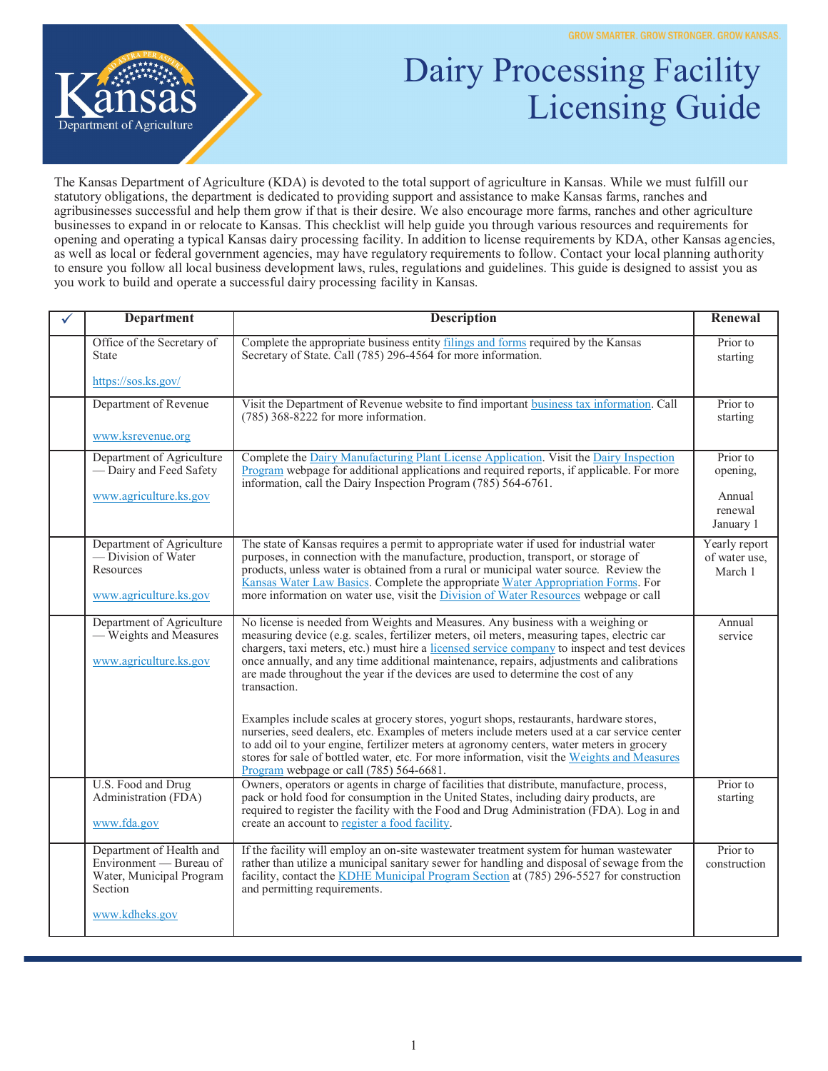

## Dairy Processing Facility Licensing Guide

The Kansas Department of Agriculture (KDA) is devoted to the total support of agriculture in Kansas. While we must fulfill our statutory obligations, the department is dedicated to providing support and assistance to make Kansas farms, ranches and agribusinesses successful and help them grow if that is their desire. We also encourage more farms, ranches and other agriculture businesses to expand in or relocate to Kansas. This checklist will help guide you through various resources and requirements for opening and operating a typical Kansas dairy processing facility. In addition to license requirements by KDA, other Kansas agencies, as well as local or federal government agencies, may have regulatory requirements to follow. Contact your local planning authority to ensure you follow all local business development laws, rules, regulations and guidelines. This guide is designed to assist you as you work to build and operate a successful dairy processing facility in Kansas.

| <b>Department</b>                                                                                            | <b>Description</b>                                                                                                                                                                                                                                                                                                                                                                                                                                                                | Renewal                                   |
|--------------------------------------------------------------------------------------------------------------|-----------------------------------------------------------------------------------------------------------------------------------------------------------------------------------------------------------------------------------------------------------------------------------------------------------------------------------------------------------------------------------------------------------------------------------------------------------------------------------|-------------------------------------------|
| Office of the Secretary of<br><b>State</b>                                                                   | Complete the appropriate business entity filings and forms required by the Kansas<br>Secretary of State. Call (785) 296-4564 for more information.                                                                                                                                                                                                                                                                                                                                | Prior to<br>starting                      |
| https://sos.ks.gov/                                                                                          |                                                                                                                                                                                                                                                                                                                                                                                                                                                                                   |                                           |
| Department of Revenue                                                                                        | Visit the Department of Revenue website to find important business tax information. Call<br>$(785)$ 368-8222 for more information.                                                                                                                                                                                                                                                                                                                                                | Prior to<br>starting                      |
| www.ksrevenue.org                                                                                            |                                                                                                                                                                                                                                                                                                                                                                                                                                                                                   |                                           |
| Department of Agriculture<br>- Dairy and Feed Safety                                                         | Complete the Dairy Manufacturing Plant License Application. Visit the Dairy Inspection<br>Program webpage for additional applications and required reports, if applicable. For more<br>information, call the Dairy Inspection Program $(785)$ 564-6761.                                                                                                                                                                                                                           | Prior to<br>opening,                      |
| www.agriculture.ks.gov                                                                                       |                                                                                                                                                                                                                                                                                                                                                                                                                                                                                   | Annual<br>renewal<br>January 1            |
| Department of Agriculture<br>— Division of Water<br>Resources<br>www.agriculture.ks.gov                      | The state of Kansas requires a permit to appropriate water if used for industrial water<br>purposes, in connection with the manufacture, production, transport, or storage of<br>products, unless water is obtained from a rural or municipal water source. Review the<br>Kansas Water Law Basics. Complete the appropriate Water Appropriation Forms. For<br>more information on water use, visit the <i>Division of Water Resources</i> webpage or call                         | Yearly report<br>of water use,<br>March 1 |
| Department of Agriculture<br>- Weights and Measures<br>www.agriculture.ks.gov                                | No license is needed from Weights and Measures. Any business with a weighing or<br>measuring device (e.g. scales, fertilizer meters, oil meters, measuring tapes, electric car<br>chargers, taxi meters, etc.) must hire a licensed service company to inspect and test devices<br>once annually, and any time additional maintenance, repairs, adjustments and calibrations<br>are made throughout the year if the devices are used to determine the cost of any<br>transaction. | Annual<br>service                         |
|                                                                                                              | Examples include scales at grocery stores, yogurt shops, restaurants, hardware stores,<br>nurseries, seed dealers, etc. Examples of meters include meters used at a car service center<br>to add oil to your engine, fertilizer meters at agronomy centers, water meters in grocery<br>stores for sale of bottled water, etc. For more information, visit the Weights and Measures<br>Program webpage or call (785) 564-6681.                                                     |                                           |
| U.S. Food and Drug<br>Administration (FDA)<br>www.fda.gov                                                    | Owners, operators or agents in charge of facilities that distribute, manufacture, process,<br>pack or hold food for consumption in the United States, including dairy products, are<br>required to register the facility with the Food and Drug Administration (FDA). Log in and<br>create an account to register a food facility.                                                                                                                                                | Prior to<br>starting                      |
| Department of Health and<br>Environment - Bureau of<br>Water, Municipal Program<br>Section<br>www.kdheks.gov | If the facility will employ an on-site wastewater treatment system for human wastewater<br>rather than utilize a municipal sanitary sewer for handling and disposal of sewage from the<br>facility, contact the KDHE Municipal Program Section at (785) 296-5527 for construction<br>and permitting requirements.                                                                                                                                                                 | Prior to<br>construction                  |
|                                                                                                              |                                                                                                                                                                                                                                                                                                                                                                                                                                                                                   |                                           |